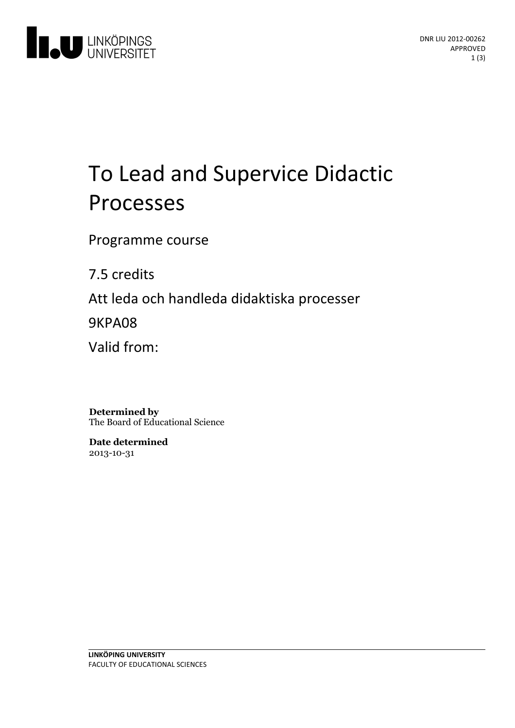

# To Lead and Supervice Didactic Processes

Programme course

7.5 credits

Att leda och handleda didaktiska processer

9KPA08

Valid from:

**Determined by** The Board of Educational Science

**Date determined** 2013-10-31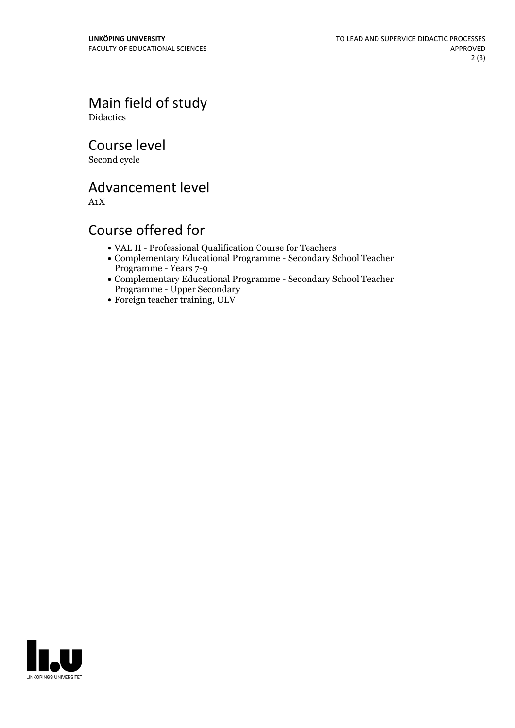Main field of study Didactics

Course level

Second cycle

Advancement level

A1X

# Course offered for

- VAL II -Professional Qualification Course for Teachers
- Complementary Educational Programme Secondary School Teacher Programme - Years 7-9
- Complementary Educational Programme Secondary School Teacher Programme - Upper Secondary
- Foreign teacher training, ULV